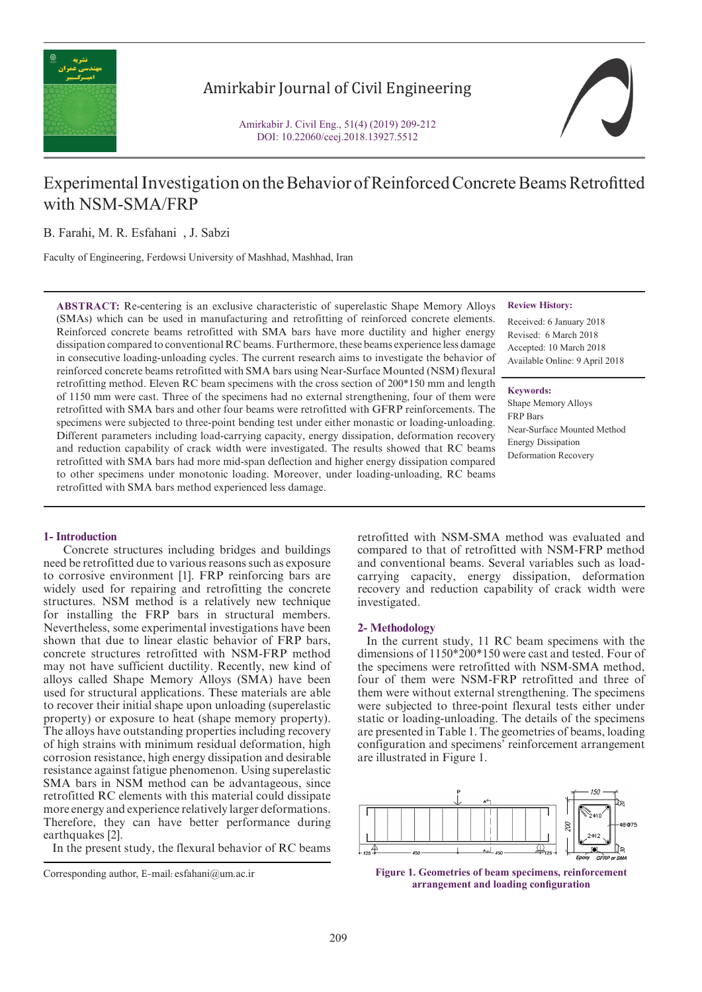

## Amirkabir Journal of Civil Engineering

Amirkabir J. Civil Eng., 51(4) (2019) 209-212 DOI: 10.22060/ceej.2018.13927.5512



# Experimental Investigation on the Behavior of Reinforced Concrete Beams Retrofitted with NSM-SMA/FRP

B. Farahi, M. R. Esfahani , J. Sabzi

Faculty of Engineering, Ferdowsi University of Mashhad, Mashhad, Iran

**ABSTRACT:** Re-centering is an exclusive characteristic of superelastic Shape Memory Alloys (SMAs) which can be used in manufacturing and retrofitting of reinforced concrete elements. Reinforced concrete beams retrofitted with SMA bars have more ductility and higher energy dissipation compared to conventional RC beams. Furthermore, these beams experience less damage in consecutive loading-unloading cycles. The current research aims to investigate the behavior of reinforced concrete beams retrofitted with SMA bars using Near-Surface Mounted (NSM) flexural retrofitting method. Eleven RC beam specimens with the cross section of 200\*150 mm and length of 1150 mm were cast. Three of the specimens had no external strengthening, four of them were retrofitted with SMA bars and other four beams were retrofitted with GFRP reinforcements. The specimens were subjected to three-point bending test under either monastic or loading-unloading. Different parameters including load-carrying capacity, energy dissipation, deformation recovery and reduction capability of crack width were investigated. The results showed that RC beams retrofitted with SMA bars had more mid-span deflection and higher energy dissipation compared to other specimens under monotonic loading. Moreover, under loading-unloading, RC beams retrofitted with SMA bars method experienced less damage.

#### **Review History:**

Received: 6 January 2018 Revised: 6 March 2018 Accepted: 10 March 2018 Available Online: 9 April 2018

**Keywords:** Shape Memory Alloys FRP Bars Near-Surface Mounted Method Energy Dissipation Deformation Recovery

## **1- Introduction**

 Concrete structures including bridges and buildings need be retrofitted due to various reasons such as exposure to corrosive environment [1]. FRP reinforcing bars are widely used for repairing and retrofitting the concrete structures. NSM method is a relatively new technique for installing the FRP bars in structural members. Nevertheless, some experimental investigations have been shown that due to linear elastic behavior of FRP bars, concrete structures retrofitted with NSM-FRP method may not have sufficient ductility. Recently, new kind of alloys called Shape Memory Alloys (SMA) have been used for structural applications. These materials are able to recover their initial shape upon unloading (superelastic property) or exposure to heat (shape memory property). The alloys have outstanding properties including recovery of high strains with minimum residual deformation, high corrosion resistance, high energy dissipation and desirable resistance against fatigue phenomenon. Using superelastic SMA bars in NSM method can be advantageous, since retrofitted RC elements with this material could dissipate more energy and experience relatively larger deformations. Therefore, they can have better performance during earthquakes [2].

In the present study, the flexural behavior of RC beams

retrofitted with NSM-SMA method was evaluated and compared to that of retrofitted with NSM-FRP method and conventional beams. Several variables such as loadcarrying capacity, energy dissipation, deformation recovery and reduction capability of crack width were investigated.

#### **2- Methodology**

 In the current study, 11 RC beam specimens with the dimensions of 1150\*200\*150 were cast and tested. Four of the specimens were retrofitted with NSM-SMA method, four of them were NSM-FRP retrofitted and three of them were without external strengthening. The specimens were subjected to three-point flexural tests either under static or loading-unloading. The details of the specimens are presented in Table 1. The geometries of beams, loading configuration and specimens' reinforcement arrangement are illustrated in Figure 1.



Corresponding author, E-mail: esfahani@um.ac.ir **Figure 1. Geometries of beam specimens, reinforcement arrangement and loading configuration**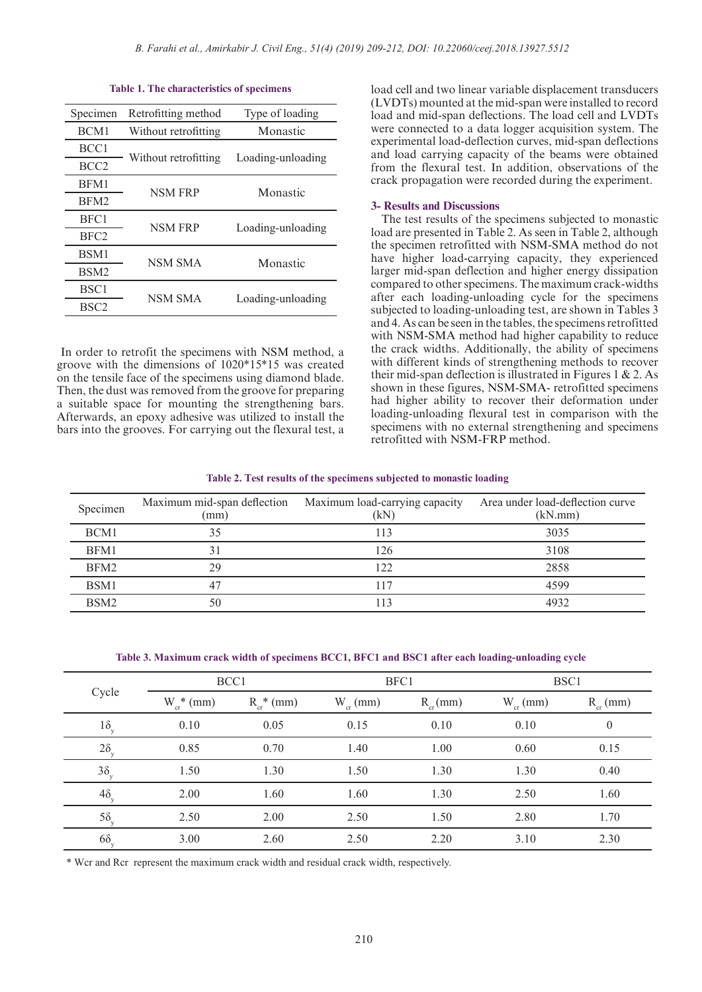| Specimen         | Retrofitting method  | Type of loading   |  |
|------------------|----------------------|-------------------|--|
| BCM1             | Without retrofitting | Monastic          |  |
| BCC <sub>1</sub> |                      | Loading-unloading |  |
| BCC <sub>2</sub> | Without retrofitting |                   |  |
| BFM1             | <b>NSM FRP</b>       | Monastic          |  |
| BFM <sub>2</sub> |                      |                   |  |
| BFC1             | <b>NSM FRP</b>       | Loading-unloading |  |
| BFC <sub>2</sub> |                      |                   |  |
| BSM1             | <b>NSM SMA</b>       | Monastic          |  |
| BSM <sub>2</sub> |                      |                   |  |
| BSC <sub>1</sub> | <b>NSM SMA</b>       |                   |  |
| BSC <sub>2</sub> |                      | Loading-unloading |  |
|                  |                      |                   |  |

#### **Table 1. The characteristics of specimens**

 In order to retrofit the specimens with NSM method, a groove with the dimensions of 1020\*15\*15 was created on the tensile face of the specimens using diamond blade. Then, the dust was removed from the groove for preparing a suitable space for mounting the strengthening bars. Afterwards, an epoxy adhesive was utilized to install the bars into the grooves. For carrying out the flexural test, a load cell and two linear variable displacement transducers (LVDTs) mounted at the mid-span were installed to record load and mid-span deflections. The load cell and LVDTs were connected to a data logger acquisition system. The experimental load-deflection curves, mid-span deflections and load carrying capacity of the beams were obtained from the flexural test. In addition, observations of the crack propagation were recorded during the experiment.

#### **3- Results and Discussions**

 The test results of the specimens subjected to monastic load are presented in Table 2. As seen in Table 2, although the specimen retrofitted with NSM-SMA method do not have higher load-carrying capacity, they experienced larger mid-span deflection and higher energy dissipation compared to other specimens. The maximum crack-widths after each loading-unloading cycle for the specimens subjected to loading-unloading test, are shown in Tables 3 and 4. As can be seen in the tables, the specimens retrofitted with NSM-SMA method had higher capability to reduce the crack widths. Additionally, the ability of specimens with different kinds of strengthening methods to recover their mid-span deflection is illustrated in Figures 1  $\&$  2. As shown in these figures, NSM-SMA- retrofitted specimens had higher ability to recover their deformation under loading-unloading flexural test in comparison with the specimens with no external strengthening and specimens retrofitted with NSM-FRP method.

#### **Table 2. Test results of the specimens subjected to monastic loading**

| Specimen         | Maximum mid-span deflection<br>(mm) | Maximum load-carrying capacity<br>(kN | Area under load-deflection curve<br>(kN.mm) |
|------------------|-------------------------------------|---------------------------------------|---------------------------------------------|
| BCM1             | 35                                  | 113                                   | 3035                                        |
| BFM1             |                                     | 126                                   | 3108                                        |
| BFM2             | 29                                  | 122                                   | 2858                                        |
| BSM1             |                                     | 117                                   | 4599                                        |
| BSM <sub>2</sub> | 50                                  | 113                                   | 4932                                        |

**Table 3. Maximum crack width of specimens BCC1, BFC1 and BSC1 after each loading-unloading cycle**

| Cycle         | BCC1                       |               | BFC1         |              | BSC1         |                  |
|---------------|----------------------------|---------------|--------------|--------------|--------------|------------------|
|               | $W_{cr}$ <sup>*</sup> (mm) | $R_{cr}$ (mm) | $W_{cr}(mm)$ | $R_{cr}(mm)$ | $W_{cr}(mm)$ | $R_{cr}(mm)$     |
| $1\delta_{y}$ | 0.10                       | 0.05          | 0.15         | 0.10         | 0.10         | $\boldsymbol{0}$ |
| $2\delta_{y}$ | 0.85                       | 0.70          | 1.40         | 1.00         | 0.60         | 0.15             |
| $3\delta_{y}$ | 1.50                       | 1.30          | 1.50         | 1.30         | 1.30         | 0.40             |
| $4\delta_{y}$ | 2.00                       | 1.60          | 1.60         | 1.30         | 2.50         | 1.60             |
| $5\delta_{v}$ | 2.50                       | 2.00          | 2.50         | 1.50         | 2.80         | 1.70             |
| $6\delta_{y}$ | 3.00                       | 2.60          | 2.50         | 2.20         | 3.10         | 2.30             |

\* Wcr and Rcr represent the maximum crack width and residual crack width, respectively.